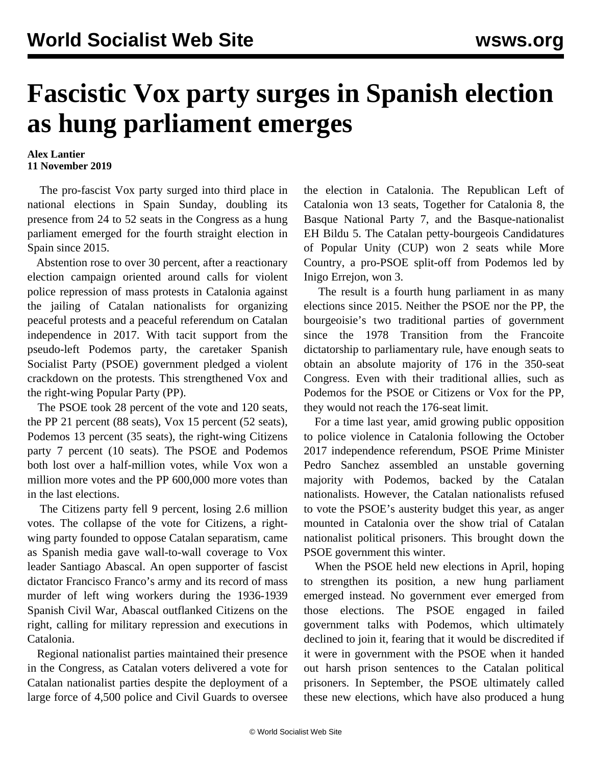## **Fascistic Vox party surges in Spanish election as hung parliament emerges**

## **Alex Lantier 11 November 2019**

 The pro-fascist Vox party surged into third place in national elections in Spain Sunday, doubling its presence from 24 to 52 seats in the Congress as a hung parliament emerged for the fourth straight election in Spain since 2015.

 Abstention rose to over 30 percent, after a reactionary election campaign oriented around calls for violent police repression of mass protests in Catalonia against the jailing of Catalan nationalists for organizing peaceful protests and a peaceful referendum on Catalan independence in 2017. With tacit support from the pseudo-left Podemos party, the caretaker Spanish Socialist Party (PSOE) government pledged a violent crackdown on the protests. This strengthened Vox and the right-wing Popular Party (PP).

 The PSOE took 28 percent of the vote and 120 seats, the PP 21 percent (88 seats), Vox 15 percent (52 seats), Podemos 13 percent (35 seats), the right-wing Citizens party 7 percent (10 seats). The PSOE and Podemos both lost over a half-million votes, while Vox won a million more votes and the PP 600,000 more votes than in the last elections.

 The Citizens party fell 9 percent, losing 2.6 million votes. The collapse of the vote for Citizens, a rightwing party founded to oppose Catalan separatism, came as Spanish media gave wall-to-wall coverage to Vox leader Santiago Abascal. An open supporter of fascist dictator Francisco Franco's army and its record of mass murder of left wing workers during the 1936-1939 Spanish Civil War, Abascal outflanked Citizens on the right, calling for military repression and executions in Catalonia.

 Regional nationalist parties maintained their presence in the Congress, as Catalan voters delivered a vote for Catalan nationalist parties despite the deployment of a large force of 4,500 police and Civil Guards to oversee the election in Catalonia. The Republican Left of Catalonia won 13 seats, Together for Catalonia 8, the Basque National Party 7, and the Basque-nationalist EH Bildu 5. The Catalan petty-bourgeois Candidatures of Popular Unity (CUP) won 2 seats while More Country, a pro-PSOE split-off from Podemos led by Inigo Errejon, won 3.

 The result is a fourth hung parliament in as many elections since 2015. Neither the PSOE nor the PP, the bourgeoisie's two traditional parties of government since the 1978 Transition from the Francoite dictatorship to parliamentary rule, have enough seats to obtain an absolute majority of 176 in the 350-seat Congress. Even with their traditional allies, such as Podemos for the PSOE or Citizens or Vox for the PP, they would not reach the 176-seat limit.

 For a time last year, amid growing public opposition to police violence in Catalonia following the October 2017 independence referendum, PSOE Prime Minister Pedro Sanchez assembled an unstable governing majority with Podemos, backed by the Catalan nationalists. However, the Catalan nationalists refused to vote the PSOE's austerity budget this year, as anger mounted in Catalonia over the show trial of Catalan nationalist political prisoners. This brought down the PSOE government this winter.

 When the PSOE held new elections in April, hoping to strengthen its position, a new hung parliament emerged instead. No government ever emerged from those elections. The PSOE engaged in failed government talks with Podemos, which ultimately declined to join it, fearing that it would be discredited if it were in government with the PSOE when it handed out harsh prison sentences to the Catalan political prisoners. In September, the PSOE ultimately called these new elections, which have also produced a hung